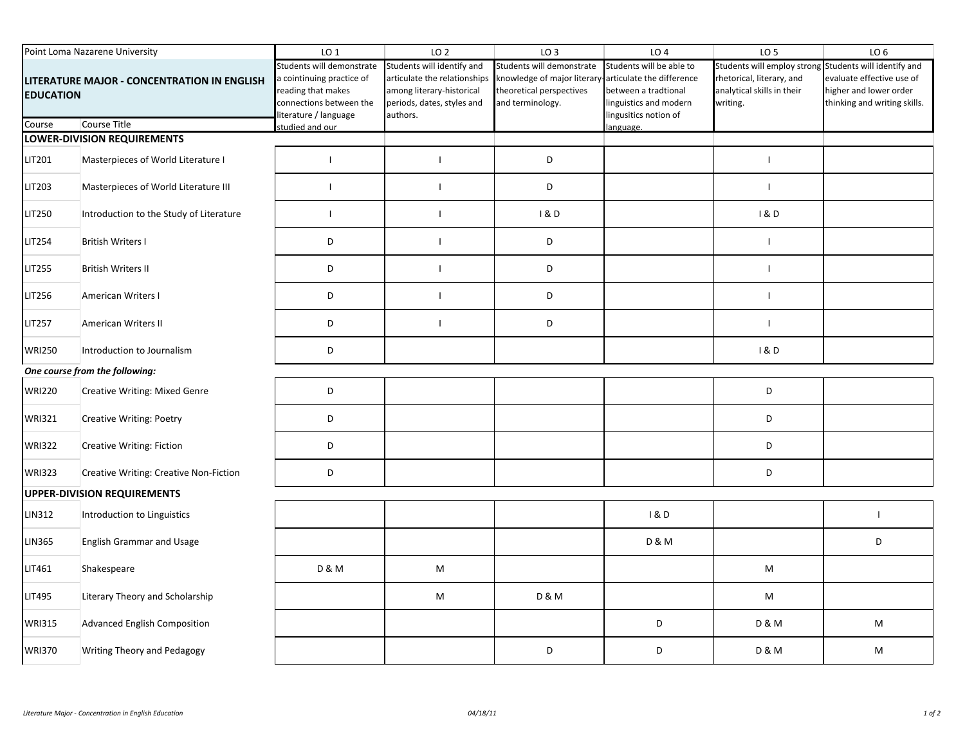| Point Loma Nazarene University                                  |                                         | LO <sub>1</sub>                                                                                                                 | LO <sub>2</sub>                                                                                                                   | LO <sub>3</sub>                                                                                          | LO <sub>4</sub>                                                                                                                  | LO <sub>5</sub>                                                                                                               | LO <sub>6</sub>                                                                     |  |  |  |
|-----------------------------------------------------------------|-----------------------------------------|---------------------------------------------------------------------------------------------------------------------------------|-----------------------------------------------------------------------------------------------------------------------------------|----------------------------------------------------------------------------------------------------------|----------------------------------------------------------------------------------------------------------------------------------|-------------------------------------------------------------------------------------------------------------------------------|-------------------------------------------------------------------------------------|--|--|--|
| LITERATURE MAJOR - CONCENTRATION IN ENGLISH<br><b>EDUCATION</b> |                                         | Students will demonstrate<br>a cointinuing practice of<br>reading that makes<br>connections between the<br>iterature / language | Students will identify and<br>articulate the relationships<br>among literary-historical<br>periods, dates, styles and<br>authors. | Students will demonstrate<br>knowledge of major literary<br>theoretical perspectives<br>and terminology. | Students will be able to<br>articulate the difference<br>between a tradtional<br>linguistics and modern<br>lingusitics notion of | Students will employ strong Students will identify and<br>rhetorical, literary, and<br>analytical skills in their<br>writing. | evaluate effective use of<br>higher and lower order<br>thinking and writing skills. |  |  |  |
| Course                                                          | Course Title                            | studied and our                                                                                                                 |                                                                                                                                   |                                                                                                          | language.                                                                                                                        |                                                                                                                               |                                                                                     |  |  |  |
|                                                                 | LOWER-DIVISION REQUIREMENTS             |                                                                                                                                 |                                                                                                                                   |                                                                                                          |                                                                                                                                  |                                                                                                                               |                                                                                     |  |  |  |
| LIT201                                                          | Masterpieces of World Literature I      | $\mathbf{I}$                                                                                                                    | $\blacksquare$                                                                                                                    | D                                                                                                        |                                                                                                                                  | $\overline{1}$                                                                                                                |                                                                                     |  |  |  |
| LIT203                                                          | Masterpieces of World Literature III    | $\mathbf{I}$                                                                                                                    |                                                                                                                                   | D                                                                                                        |                                                                                                                                  | $\mathbf{I}$                                                                                                                  |                                                                                     |  |  |  |
| LIT250                                                          | Introduction to the Study of Literature | $\mathbf{I}$                                                                                                                    |                                                                                                                                   | 1&0                                                                                                      |                                                                                                                                  | 1&0                                                                                                                           |                                                                                     |  |  |  |
| LIT254                                                          | <b>British Writers I</b>                | D                                                                                                                               |                                                                                                                                   | D                                                                                                        |                                                                                                                                  | $\overline{1}$                                                                                                                |                                                                                     |  |  |  |
| LIT255                                                          | <b>British Writers II</b>               | D                                                                                                                               |                                                                                                                                   | D                                                                                                        |                                                                                                                                  | $\overline{1}$                                                                                                                |                                                                                     |  |  |  |
| LIT256                                                          | American Writers I                      | D                                                                                                                               |                                                                                                                                   | D                                                                                                        |                                                                                                                                  | $\mathbf{I}$                                                                                                                  |                                                                                     |  |  |  |
| LIT257                                                          | American Writers II                     | D                                                                                                                               |                                                                                                                                   | D                                                                                                        |                                                                                                                                  | $\overline{1}$                                                                                                                |                                                                                     |  |  |  |
| <b>WRI250</b>                                                   | Introduction to Journalism              | D                                                                                                                               |                                                                                                                                   |                                                                                                          |                                                                                                                                  | 1&0                                                                                                                           |                                                                                     |  |  |  |
| One course from the following:                                  |                                         |                                                                                                                                 |                                                                                                                                   |                                                                                                          |                                                                                                                                  |                                                                                                                               |                                                                                     |  |  |  |
| <b>WRI220</b>                                                   | Creative Writing: Mixed Genre           | $\mathsf D$                                                                                                                     |                                                                                                                                   |                                                                                                          |                                                                                                                                  | D                                                                                                                             |                                                                                     |  |  |  |
| <b>WRI321</b>                                                   | Creative Writing: Poetry                | D                                                                                                                               |                                                                                                                                   |                                                                                                          |                                                                                                                                  | D                                                                                                                             |                                                                                     |  |  |  |
| <b>WRI322</b>                                                   | Creative Writing: Fiction               | $\mathsf D$                                                                                                                     |                                                                                                                                   |                                                                                                          |                                                                                                                                  | D                                                                                                                             |                                                                                     |  |  |  |
| <b>WRI323</b>                                                   | Creative Writing: Creative Non-Fiction  | $\mathsf D$                                                                                                                     |                                                                                                                                   |                                                                                                          |                                                                                                                                  | D                                                                                                                             |                                                                                     |  |  |  |
|                                                                 | <b>UPPER-DIVISION REQUIREMENTS</b>      |                                                                                                                                 |                                                                                                                                   |                                                                                                          |                                                                                                                                  |                                                                                                                               |                                                                                     |  |  |  |
| LIN312                                                          | Introduction to Linguistics             |                                                                                                                                 |                                                                                                                                   |                                                                                                          | 1&0                                                                                                                              |                                                                                                                               | $\mathbf{I}$                                                                        |  |  |  |
| LIN365                                                          | <b>English Grammar and Usage</b>        |                                                                                                                                 |                                                                                                                                   |                                                                                                          | <b>D &amp; M</b>                                                                                                                 |                                                                                                                               | D                                                                                   |  |  |  |
| LIT461                                                          | Shakespeare                             | <b>D &amp; M</b>                                                                                                                | M                                                                                                                                 |                                                                                                          |                                                                                                                                  | M                                                                                                                             |                                                                                     |  |  |  |
| LIT495                                                          | Literary Theory and Scholarship         |                                                                                                                                 | M                                                                                                                                 | <b>D &amp; M</b>                                                                                         |                                                                                                                                  | M                                                                                                                             |                                                                                     |  |  |  |
| <b>WRI315</b>                                                   | <b>Advanced English Composition</b>     |                                                                                                                                 |                                                                                                                                   |                                                                                                          | D                                                                                                                                | <b>D &amp; M</b>                                                                                                              | M                                                                                   |  |  |  |
| <b>WRI370</b>                                                   | Writing Theory and Pedagogy             |                                                                                                                                 |                                                                                                                                   | D                                                                                                        | D                                                                                                                                | <b>D &amp; M</b>                                                                                                              | M                                                                                   |  |  |  |